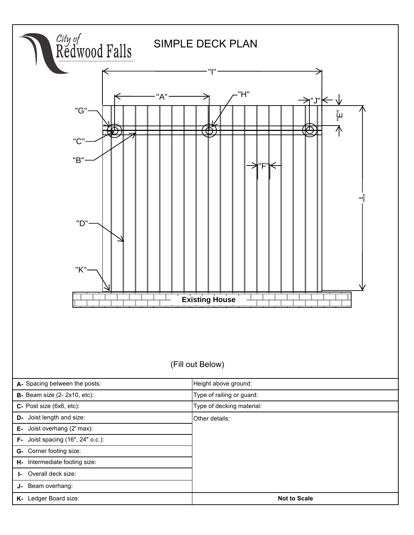